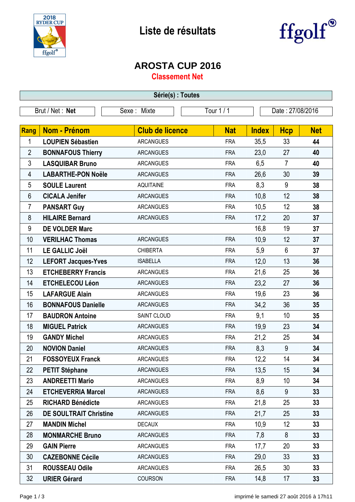



## **AROSTA CUP 2016**

**Classement Net**

| Série(s) : Toutes |                                                                  |                        |            |              |                |            |  |
|-------------------|------------------------------------------------------------------|------------------------|------------|--------------|----------------|------------|--|
|                   | Tour 1 / 1<br>Brut / Net: Net<br>Sexe: Mixte<br>Date: 27/08/2016 |                        |            |              |                |            |  |
|                   |                                                                  |                        |            |              |                |            |  |
| <b>Rang</b>       | Nom - Prénom                                                     | <b>Club de licence</b> | <b>Nat</b> | <b>Index</b> | <b>Hcp</b>     | <b>Net</b> |  |
| 1                 | <b>LOUPIEN Sébastien</b>                                         | <b>ARCANGUES</b>       | <b>FRA</b> | 35,5         | 33             | 44         |  |
| $\overline{2}$    | <b>BONNAFOUS Thierry</b>                                         | <b>ARCANGUES</b>       | <b>FRA</b> | 23,0         | 27             | 40         |  |
| 3                 | <b>LASQUIBAR Bruno</b>                                           | <b>ARCANGUES</b>       | <b>FRA</b> | 6,5          | $\overline{7}$ | 40         |  |
| 4                 | <b>LABARTHE-PON Noële</b>                                        | <b>ARCANGUES</b>       | <b>FRA</b> | 26,6         | 30             | 39         |  |
| 5                 | <b>SOULE Laurent</b>                                             | <b>AQUITAINE</b>       | <b>FRA</b> | 8,3          | $9\,$          | 38         |  |
| 6                 | <b>CICALA Jenifer</b>                                            | <b>ARCANGUES</b>       | <b>FRA</b> | 10,8         | 12             | 38         |  |
| $\overline{7}$    | <b>PANSART Guy</b>                                               | <b>ARCANGUES</b>       | <b>FRA</b> | 10,5         | 12             | 38         |  |
| 8                 | <b>HILAIRE Bernard</b>                                           | <b>ARCANGUES</b>       | <b>FRA</b> | 17,2         | 20             | 37         |  |
| 9                 | <b>DE VOLDER Marc</b>                                            |                        |            | 16,8         | 19             | 37         |  |
| 10                | <b>VERILHAC Thomas</b>                                           | <b>ARCANGUES</b>       | <b>FRA</b> | 10,9         | 12             | 37         |  |
| 11                | <b>LE GALLIC Joël</b>                                            | <b>CHIBERTA</b>        | <b>FRA</b> | 5,9          | $6\phantom{1}$ | 37         |  |
| 12                | <b>LEFORT Jacques-Yves</b>                                       | <b>ISABELLA</b>        | <b>FRA</b> | 12,0         | 13             | 36         |  |
| 13                | <b>ETCHEBERRY Francis</b>                                        | <b>ARCANGUES</b>       | <b>FRA</b> | 21,6         | 25             | 36         |  |
| 14                | <b>ETCHELECOU Léon</b>                                           | <b>ARCANGUES</b>       | <b>FRA</b> | 23,2         | 27             | 36         |  |
| 15                | <b>LAFARGUE Alain</b>                                            | <b>ARCANGUES</b>       | <b>FRA</b> | 19,6         | 23             | 36         |  |
| 16                | <b>BONNAFOUS Danielle</b>                                        | <b>ARCANGUES</b>       | <b>FRA</b> | 34,2         | 36             | 35         |  |
| 17                | <b>BAUDRON Antoine</b>                                           | SAINT CLOUD            | <b>FRA</b> | 9,1          | 10             | 35         |  |
| 18                | <b>MIGUEL Patrick</b>                                            | <b>ARCANGUES</b>       | <b>FRA</b> | 19,9         | 23             | 34         |  |
| 19                | <b>GANDY Michel</b>                                              | <b>ARCANGUES</b>       | <b>FRA</b> | 21,2         | 25             | 34         |  |
| 20                | <b>NOVION Daniel</b>                                             | <b>ARCANGUES</b>       | <b>FRA</b> | 8,3          | $9\,$          | 34         |  |
| 21                | <b>FOSSOYEUX Franck</b>                                          | ARCANGUES              | <b>FRA</b> | 12,2         | 14             | 34         |  |
| 22                | <b>PETIT Stéphane</b>                                            | <b>ARCANGUES</b>       | <b>FRA</b> | 13,5         | 15             | 34         |  |
| 23                | <b>ANDREETTI Mario</b>                                           | <b>ARCANGUES</b>       | <b>FRA</b> | 8,9          | 10             | 34         |  |
| 24                | <b>ETCHEVERRIA Marcel</b>                                        | <b>ARCANGUES</b>       | <b>FRA</b> | 8,6          | 9              | 33         |  |
| 25                | <b>RICHARD Bénédicte</b>                                         | <b>ARCANGUES</b>       | <b>FRA</b> | 21,8         | 25             | 33         |  |
| 26                | <b>DE SOULTRAIT Christine</b>                                    | <b>ARCANGUES</b>       | <b>FRA</b> | 21,7         | 25             | 33         |  |
| 27                | <b>MANDIN Michel</b>                                             | <b>DECAUX</b>          | <b>FRA</b> | 10,9         | 12             | 33         |  |
| 28                | <b>MONMARCHE Bruno</b>                                           | <b>ARCANGUES</b>       | <b>FRA</b> | 7,8          | 8              | 33         |  |
| 29                | <b>GAIN Pierre</b>                                               | <b>ARCANGUES</b>       | <b>FRA</b> | 17,7         | 20             | 33         |  |
| 30                | <b>CAZEBONNE Cécile</b>                                          | <b>ARCANGUES</b>       | <b>FRA</b> | 29,0         | 33             | 33         |  |
| 31                | <b>ROUSSEAU Odile</b>                                            | <b>ARCANGUES</b>       | <b>FRA</b> | 26,5         | 30             | 33         |  |
| 32                | <b>URIER Gérard</b>                                              | COURSON                | <b>FRA</b> | 14,8         | 17             | 33         |  |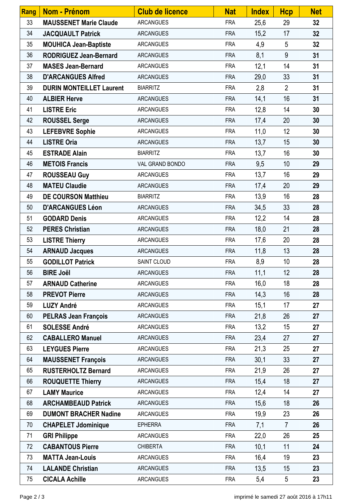| <b>Rang</b> | Nom - Prénom                    | <b>Club de licence</b> | <b>Nat</b> | <b>Index</b> | <b>Hcp</b>     | <b>Net</b> |
|-------------|---------------------------------|------------------------|------------|--------------|----------------|------------|
| 33          | <b>MAUSSENET Marie Claude</b>   | <b>ARCANGUES</b>       | <b>FRA</b> | 25,6         | 29             | 32         |
| 34          | <b>JACQUAULT Patrick</b>        | <b>ARCANGUES</b>       | <b>FRA</b> | 15,2         | 17             | 32         |
| 35          | <b>MOUHICA Jean-Baptiste</b>    | <b>ARCANGUES</b>       | <b>FRA</b> | 4,9          | 5              | 32         |
| 36          | <b>RODRIGUEZ Jean-Bernard</b>   | <b>ARCANGUES</b>       | <b>FRA</b> | 8,1          | 9              | 31         |
| 37          | <b>MASES Jean-Bernard</b>       | <b>ARCANGUES</b>       | <b>FRA</b> | 12,1         | 14             | 31         |
| 38          | <b>D'ARCANGUES Alfred</b>       | <b>ARCANGUES</b>       | <b>FRA</b> | 29,0         | 33             | 31         |
| 39          | <b>DURIN MONTEILLET Laurent</b> | <b>BIARRITZ</b>        | <b>FRA</b> | 2,8          | $\overline{2}$ | 31         |
| 40          | <b>ALBIER Herve</b>             | <b>ARCANGUES</b>       | <b>FRA</b> | 14,1         | 16             | 31         |
| 41          | <b>LISTRE Eric</b>              | <b>ARCANGUES</b>       | <b>FRA</b> | 12,8         | 14             | 30         |
| 42          | <b>ROUSSEL Serge</b>            | <b>ARCANGUES</b>       | <b>FRA</b> | 17,4         | 20             | 30         |
| 43          | <b>LEFEBVRE Sophie</b>          | <b>ARCANGUES</b>       | <b>FRA</b> | 11,0         | 12             | 30         |
| 44          | <b>LISTRE Oria</b>              | <b>ARCANGUES</b>       | <b>FRA</b> | 13,7         | 15             | 30         |
| 45          | <b>ESTRADE Alain</b>            | <b>BIARRITZ</b>        | <b>FRA</b> | 13,7         | 16             | 30         |
| 46          | <b>METOIS Francis</b>           | VAL GRAND BONDO        | <b>FRA</b> | 9,5          | 10             | 29         |
| 47          | <b>ROUSSEAU Guy</b>             | <b>ARCANGUES</b>       | <b>FRA</b> | 13,7         | 16             | 29         |
| 48          | <b>MATEU Claudie</b>            | <b>ARCANGUES</b>       | <b>FRA</b> | 17,4         | 20             | 29         |
| 49          | <b>DE COURSON Matthieu</b>      | <b>BIARRITZ</b>        | <b>FRA</b> | 13,9         | 16             | 28         |
| 50          | <b>D'ARCANGUES Léon</b>         | <b>ARCANGUES</b>       | <b>FRA</b> | 34,5         | 33             | 28         |
| 51          | <b>GODARD Denis</b>             | <b>ARCANGUES</b>       | <b>FRA</b> | 12,2         | 14             | 28         |
| 52          | <b>PERES Christian</b>          | <b>ARCANGUES</b>       | <b>FRA</b> | 18,0         | 21             | 28         |
| 53          | <b>LISTRE Thierry</b>           | <b>ARCANGUES</b>       | <b>FRA</b> | 17,6         | 20             | 28         |
| 54          | <b>ARNAUD Jacques</b>           | <b>ARCANGUES</b>       | <b>FRA</b> | 11,8         | 13             | 28         |
| 55          | <b>GODILLOT Patrick</b>         | SAINT CLOUD            | <b>FRA</b> | 8,9          | 10             | 28         |
| 56          | <b>BIRE Joël</b>                | <b>ARCANGUES</b>       | <b>FRA</b> | 11,1         | 12             | 28         |
| 57          | <b>ARNAUD Catherine</b>         | <b>ARCANGUES</b>       | <b>FRA</b> | 16,0         | 18             | 28         |
| 58          | <b>PREVOT Pierre</b>            | <b>ARCANGUES</b>       | <b>FRA</b> | 14,3         | 16             | 28         |
| 59          | <b>LUZY André</b>               | <b>ARCANGUES</b>       | <b>FRA</b> | 15,1         | 17             | 27         |
| 60          | <b>PELRAS Jean François</b>     | <b>ARCANGUES</b>       | <b>FRA</b> | 21,8         | 26             | 27         |
| 61          | <b>SOLESSE André</b>            | <b>ARCANGUES</b>       | <b>FRA</b> | 13,2         | 15             | 27         |
| 62          | <b>CABALLERO Manuel</b>         | <b>ARCANGUES</b>       | <b>FRA</b> | 23,4         | 27             | 27         |
| 63          | <b>LEYGUES Pierre</b>           | <b>ARCANGUES</b>       | <b>FRA</b> | 21,3         | 25             | 27         |
| 64          | <b>MAUSSENET François</b>       | <b>ARCANGUES</b>       | <b>FRA</b> | 30,1         | 33             | 27         |
| 65          | <b>RUSTERHOLTZ Bernard</b>      | <b>ARCANGUES</b>       | <b>FRA</b> | 21,9         | 26             | 27         |
| 66          | <b>ROUQUETTE Thierry</b>        | <b>ARCANGUES</b>       | <b>FRA</b> | 15,4         | 18             | 27         |
| 67          | <b>LAMY Maurice</b>             | <b>ARCANGUES</b>       | <b>FRA</b> | 12,4         | 14             | 27         |
| 68          | <b>ARCHAMBEAUD Patrick</b>      | <b>ARCANGUES</b>       | <b>FRA</b> | 15,6         | 18             | 26         |
| 69          | <b>DUMONT BRACHER Nadine</b>    | <b>ARCANGUES</b>       | <b>FRA</b> | 19,9         | 23             | 26         |
| 70          | <b>CHAPELET Jdominique</b>      | <b>EPHERRA</b>         | <b>FRA</b> | 7,1          | $\overline{7}$ | 26         |
| 71          | <b>GRI Philippe</b>             | <b>ARCANGUES</b>       | <b>FRA</b> | 22,0         | 26             | 25         |
| 72          | <b>CABANTOUS Pierre</b>         | <b>CHIBERTA</b>        | <b>FRA</b> | 10,1         | 11             | 24         |
| 73          | <b>MATTA Jean-Louis</b>         | <b>ARCANGUES</b>       | <b>FRA</b> | 16,4         | 19             | 23         |
| 74          | <b>LALANDE Christian</b>        | <b>ARCANGUES</b>       | <b>FRA</b> | 13,5         | 15             | 23         |
| 75          | <b>CICALA Achille</b>           | <b>ARCANGUES</b>       | <b>FRA</b> | 5,4          | 5              | 23         |